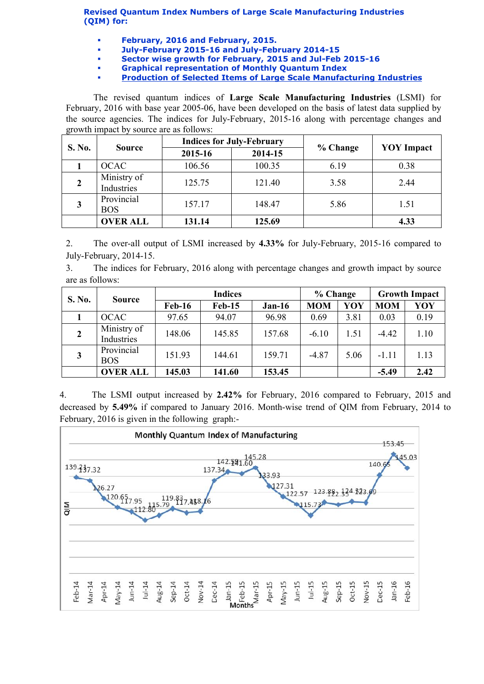Revised Quantum Index Numbers of Large Scale Manufacturing Industries (QIM) for:

- February, 2016 and February, 2015.
- July-February 2015-16 and July-February 2014-15
- Sector wise growth for February, 2015 and Jul-Feb 2015-16
	- Graphical representation of Monthly Quantum Index
- [Production of Selected Items of Large Scale Manufacturing Industries](http://www.statpak.gov.pk/depts/fbs/statistics/qim/qim_details.pdf)

The revised quantum indices of Large Scale Manufacturing Industries (LSMI) for February, 2016 with base year 2005-06, have been developed on the basis of latest data supplied by the source agencies. The indices for July-February, 2015-16 along with percentage changes and growth impact by source are as follows:

| S. No. | <b>Source</b>             |         | <b>Indices for July-February</b> |          | <b>YOY</b> Impact |  |
|--------|---------------------------|---------|----------------------------------|----------|-------------------|--|
|        |                           | 2015-16 | 2014-15                          | % Change |                   |  |
|        | <b>OCAC</b>               | 106.56  | 100.35                           | 6.19     | 0.38              |  |
|        | Ministry of<br>Industries | 125.75  | 121.40                           | 3.58     | 2.44              |  |
|        | Provincial<br><b>BOS</b>  | 157.17  | 148.47                           | 5.86     | 1.51              |  |
|        | <b>OVER ALL</b>           | 131.14  | 125.69                           |          | 4.33              |  |

2. The over-all output of LSMI increased by 4.33% for July-February, 2015-16 compared to July-February, 2014-15.

3. The indices for February, 2016 along with percentage changes and growth impact by source are as follows:

| S. No.       | <b>Source</b>             | <b>Indices</b> |               |          | % Change   |      | <b>Growth Impact</b> |      |
|--------------|---------------------------|----------------|---------------|----------|------------|------|----------------------|------|
|              |                           | <b>Feb-16</b>  | <b>Feb-15</b> | $Jan-16$ | <b>MOM</b> | YOY  | <b>MOM</b>           | YOY  |
|              | <b>OCAC</b>               | 97.65          | 94.07         | 96.98    | 0.69       | 3.81 | 0.03                 | 0.19 |
| $\mathbf{2}$ | Ministry of<br>Industries | 148.06         | 145.85        | 157.68   | $-6.10$    | 1.51 | $-4.42$              | 1.10 |
| 3            | Provincial<br><b>BOS</b>  | 151.93         | 144.61        | 159.71   | $-4.87$    | 5.06 | $-1.11$              | 1.13 |
|              | <b>OVER ALL</b>           | 145.03         | 141.60        | 153.45   |            |      | $-5.49$              | 2.42 |

4. The LSMI output increased by 2.42% for February, 2016 compared to February, 2015 and decreased by 5.49% if compared to January 2016. Month-wise trend of QIM from February, 2014 to February, 2016 is given in the following graph:-